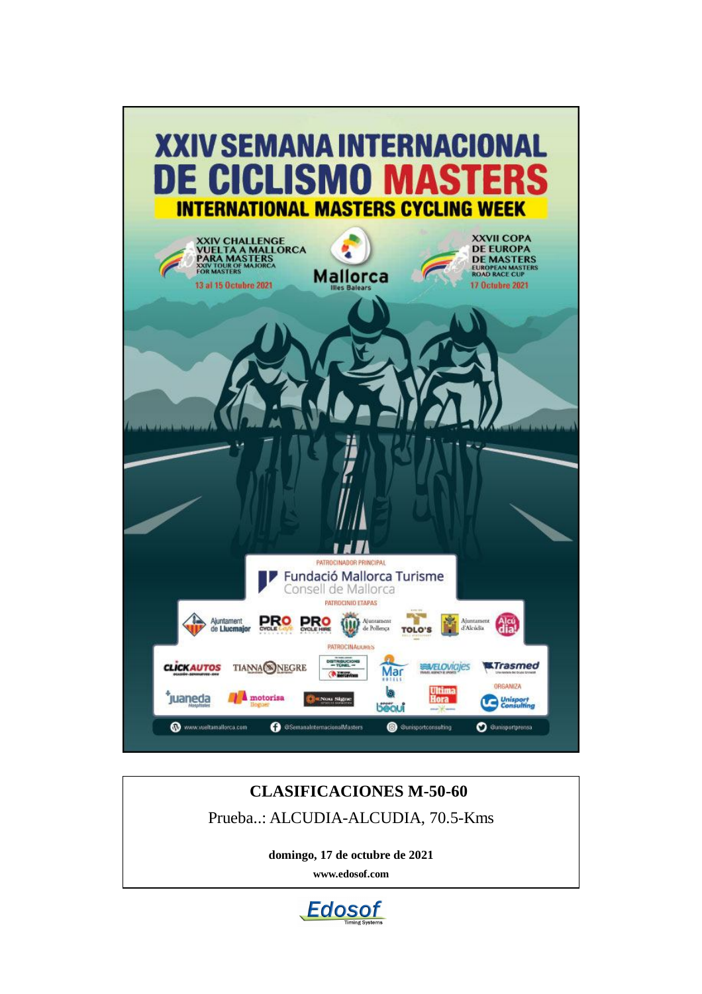

# **CLASIFICACIONES M-50-60** Prueba..: ALCUDIA-ALCUDIA, 70.5-Kms

**domingo, 17 de octubre de 2021**

**www.edosof.com**

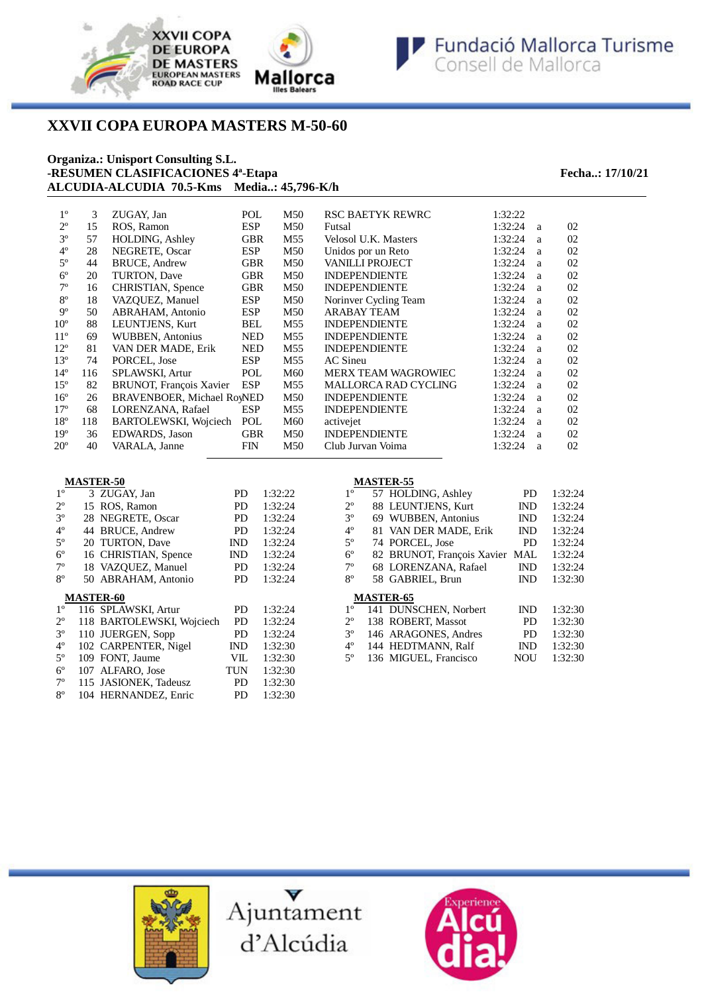

# **XXVII COPA EUROPA MASTERS M-50-60**

### **Organiza.: Unisport Consulting S.L. -RESUMEN CLASIFICACIONES 4ª-Etapa Fecha..: 17/10/21 ALCUDIA-ALCUDIA 70.5-Kms Media..: 45,796-K/h**

| $1^{\circ}$  | 3   | ZUGAY, Jan                        | POL        | M50             | <b>RSC BAETYK REWRC</b>    | 1:32:22 |   |    |
|--------------|-----|-----------------------------------|------------|-----------------|----------------------------|---------|---|----|
| $2^{\circ}$  | 15  | ROS, Ramon                        | <b>ESP</b> | M50             | Futsal                     | 1:32:24 | a | 02 |
| $3^{\circ}$  | 57  | <b>HOLDING, Ashley</b>            | <b>GBR</b> | M55             | Velosol U.K. Masters       | 1:32:24 | a | 02 |
| $4^{\circ}$  | 28  | NEGRETE, Oscar                    | <b>ESP</b> | M50             | Unidos por un Reto         | 1:32:24 | a | 02 |
| $5^{\circ}$  | 44  | <b>BRUCE, Andrew</b>              | <b>GBR</b> | M50             | <b>VANILLI PROJECT</b>     | 1:32:24 | a | 02 |
| $6^{\circ}$  | 20  | TURTON, Dave                      | <b>GBR</b> | M50             | <b>INDEPENDIENTE</b>       | 1:32:24 | a | 02 |
| $7^{\circ}$  | 16  | CHRISTIAN, Spence                 | <b>GBR</b> | M50             | <b>INDEPENDIENTE</b>       | 1:32:24 | a | 02 |
| $8^{\circ}$  | 18  | VAZOUEZ, Manuel                   | <b>ESP</b> | M50             | Norinver Cycling Team      | 1:32:24 | a | 02 |
| $9^{\circ}$  | 50  | ABRAHAM, Antonio                  | <b>ESP</b> | M50             | <b>ARABAY TEAM</b>         | 1:32:24 | a | 02 |
| $10^{\circ}$ | 88  | LEUNTJENS, Kurt                   | <b>BEL</b> | M <sub>55</sub> | <b>INDEPENDIENTE</b>       | 1:32:24 | a | 02 |
| $11^{\circ}$ | 69  | WUBBEN, Antonius                  | <b>NED</b> | M55             | <b>INDEPENDIENTE</b>       | 1:32:24 | a | 02 |
| $12^{\circ}$ | 81  | VAN DER MADE, Erik                | <b>NED</b> | M55             | <b>INDEPENDIENTE</b>       | 1:32:24 | a | 02 |
| $13^{\circ}$ | 74  | PORCEL, Jose                      | <b>ESP</b> | M55             | AC Sineu                   | 1:32:24 | a | 02 |
| $14^{\circ}$ | 116 | SPLAWSKI, Artur                   | POL        | M60             | <b>MERX TEAM WAGROWIEC</b> | 1:32:24 | a | 02 |
| $15^{\circ}$ | 82  | BRUNOT, François Xavier           | <b>ESP</b> | M55             | MALLORCA RAD CYCLING       | 1:32:24 | a | 02 |
| $16^{\circ}$ | 26  | <b>BRAVENBOER, Michael RoyNED</b> |            | M50             | <b>INDEPENDIENTE</b>       | 1:32:24 | a | 02 |
| $17^{\circ}$ | 68  | LORENZANA, Rafael                 | <b>ESP</b> | M55             | <b>INDEPENDIENTE</b>       | 1:32:24 | a | 02 |
| $18^{\circ}$ | 118 | BARTOLEWSKI, Wojciech             | POL        | M60             | activejet                  | 1:32:24 | a | 02 |
| $19^{\circ}$ | 36  | EDWARDS, Jason                    | <b>GBR</b> | M50             | <b>INDEPENDIENTE</b>       | 1:32:24 | a | 02 |
| $20^{\circ}$ | 40  | VARALA, Janne                     | <b>FIN</b> | M50             | Club Jurvan Voima          | 1:32:24 | a | 02 |

| <b>MASTER-50</b> |  |  |
|------------------|--|--|
|                  |  |  |

| 1 <sup>0</sup> | 3 ZUGAY, Jan              | PD         | 1:32:22 |
|----------------|---------------------------|------------|---------|
| $2^{\circ}$    | 15 ROS, Ramon             | PD.        | 1:32:24 |
| $3^{\circ}$    | 28 NEGRETE, Oscar         | PD.        | 1:32:24 |
| $4^{\circ}$    | 44 BRUCE, Andrew          | PD.        | 1:32:24 |
| $5^{\rm o}$    | 20 TURTON, Dave           | IND        | 1:32:24 |
| $6^{\circ}$    | 16 CHRISTIAN, Spence      | IND        | 1:32:24 |
| $7^{\circ}$    | 18 VAZQUEZ, Manuel        | PD         | 1:32:24 |
| $8^{\circ}$    | 50 ABRAHAM, Antonio       | PD.        | 1:32:24 |
|                |                           |            |         |
|                | <b>MASTER-60</b>          |            |         |
| 1 <sup>o</sup> | 116 SPLAWSKI, Artur       | PD         | 1:32:24 |
| $2^{\circ}$    | 118 BARTOLEWSKI, Wojciech | PD         | 1:32:24 |
| $3^{\circ}$    | 110 JUERGEN, Sopp         | PD.        | 1:32:24 |
| $4^{\circ}$    | 102 CARPENTER, Nigel      | IND        | 1:32:30 |
| $5^{\circ}$    | 109 FONT, Jaume           | VII.       | 1:32:30 |
| $6^{\circ}$    | 107 ALFARO, Jose          | <b>TUN</b> | 1:32:30 |
| $7^\circ$      | 115 JASIONEK, Tadeusz     | PD.        | 1:32:30 |

## **MASTER-55**

| $1^{\circ}$ |                  | 57 HOLDING, Ashley         | <b>PD</b>  | 1:32:24 |
|-------------|------------------|----------------------------|------------|---------|
| $2^{\circ}$ |                  | 88 LEUNTJENS, Kurt         | <b>IND</b> | 1:32:24 |
| $3^{\circ}$ |                  | 69 WUBBEN, Antonius        | <b>IND</b> | 1:32:24 |
| 4°          |                  | 81 VAN DER MADE, Erik      | <b>IND</b> | 1:32:24 |
| $5^{\circ}$ |                  | 74 PORCEL, Jose            | <b>PD</b>  | 1:32:24 |
| $6^{\circ}$ |                  | 82 BRUNOT, François Xavier | MAL        | 1:32:24 |
| 7°          |                  | 68 LORENZANA, Rafael       | <b>IND</b> | 1:32:24 |
| 8°          |                  | 58 GABRIEL, Brun           | <b>IND</b> | 1:32:30 |
|             | <b>MASTER-65</b> |                            |            |         |
| $1^{\circ}$ |                  | 141 DUNSCHEN, Norbert      | <b>IND</b> | 1:32:30 |
| $2^{\circ}$ |                  | 138 ROBERT, Massot         | PD.        | 1:32:30 |
| $3^{\circ}$ |                  | 146 ARAGONES, Andres       | <b>PD</b>  | 1:32:30 |
| 4°          |                  | 144 HEDTMANN, Ralf         | <b>IND</b> | 1:32:30 |
| 5°          |                  | 136 MIGUEL, Francisco      | <b>NOU</b> | 1:32:30 |
|             |                  |                            |            |         |







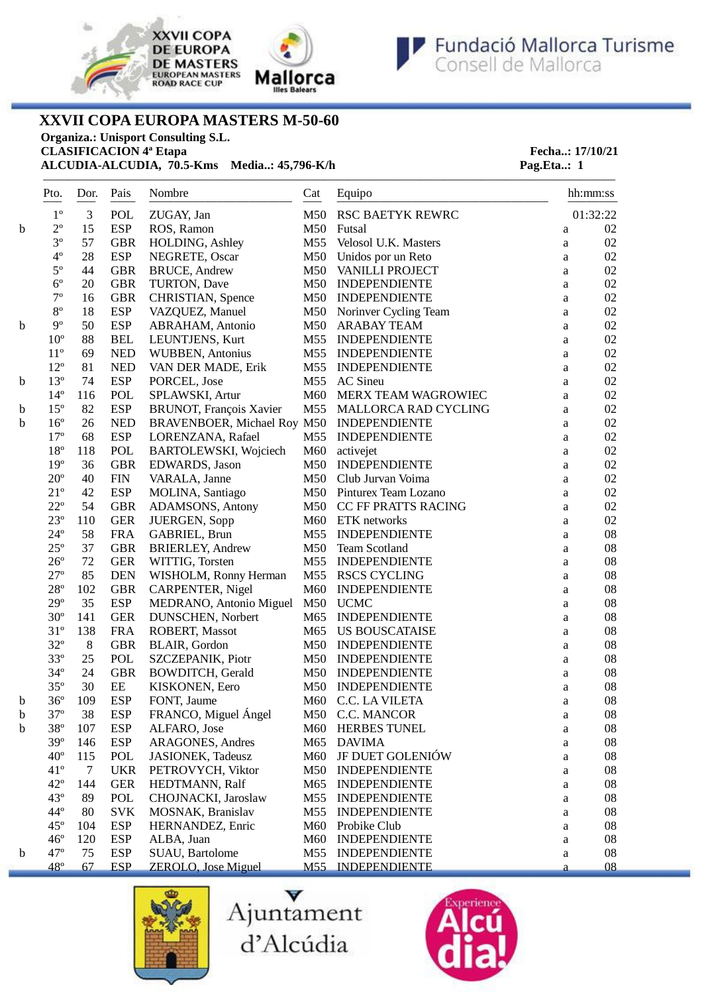



———————————————————————————————————————————————



**XXVII COPA EUROPA MASTERS M-50-60**

**Organiza.: Unisport Consulting S.L.**

**CLASIFICACION** 4<sup>ª</sup> Etapa<br> **ALCUDIA ALCUDIA**, 70.5-Kms Media..: 45,796-K/h<br> **Pag.Eta..:** 1 **ALCUDIA-ALCUDIA, 70.5-Kms Media..: 45,796-K/h Pag.Eta..: 1** 

|   | Pto.                   | Dor.       | Pais             | Nombre                      | Cat             | Equipo<br>------------- | hh:mm:ss     |            |
|---|------------------------|------------|------------------|-----------------------------|-----------------|-------------------------|--------------|------------|
|   | $- - -$<br>$1^{\circ}$ | $---$<br>3 | $- - - -$<br>POL | ZUGAY, Jan                  | $---$<br>M50    | RSC BAETYK REWRC        |              | 01:32:22   |
| b | $2^{\circ}$            | 15         | <b>ESP</b>       | ROS, Ramon                  | M50             | Futsal                  | $\rm{a}$     | 02         |
|   | $3^{\circ}$            | 57         | <b>GBR</b>       | HOLDING, Ashley             | M55             | Velosol U.K. Masters    | $\rm{a}$     | 02         |
|   | $4^{\circ}$            | 28         | <b>ESP</b>       | NEGRETE, Oscar              | M50             | Unidos por un Reto      | $\mathbf{a}$ | 02         |
|   | $5^{\circ}$            | 44         | <b>GBR</b>       | <b>BRUCE, Andrew</b>        | M50             | VANILLI PROJECT         | $\mathbf{a}$ | 02         |
|   | $6^{\circ}$            | 20         | <b>GBR</b>       | TURTON, Dave                | M50             | <b>INDEPENDIENTE</b>    | $\mathbf{a}$ | 02         |
|   | $7^{\circ}$            | 16         | <b>GBR</b>       | CHRISTIAN, Spence           | M50             | <b>INDEPENDIENTE</b>    | $\mathbf{a}$ | 02         |
|   | $8^{\circ}$            | 18         | <b>ESP</b>       | VAZQUEZ, Manuel             | M50             | Norinver Cycling Team   | a            | 02         |
| b | $9^{\circ}$            | 50         | <b>ESP</b>       | ABRAHAM, Antonio            | M50             | <b>ARABAY TEAM</b>      | a            | 02         |
|   | $10^{\circ}$           | 88         | <b>BEL</b>       | LEUNTJENS, Kurt             | M55             | <b>INDEPENDIENTE</b>    | a            | 02         |
|   | $11^{\circ}$           | 69         | <b>NED</b>       | WUBBEN, Antonius            | M55             | <b>INDEPENDIENTE</b>    | a            | 02         |
|   | $12^{\circ}$           | 81         | <b>NED</b>       | VAN DER MADE, Erik          | M55             | <b>INDEPENDIENTE</b>    | a            | 02         |
| b | $13^{\circ}$           | 74         | <b>ESP</b>       | PORCEL, Jose                | M55             | <b>AC</b> Sineu         | a            | 02         |
|   | $14^{\circ}$           | 116        | POL              | SPLAWSKI, Artur             | M60             | MERX TEAM WAGROWIEC     | a            | 02         |
| b | $15^{\circ}$           | 82         | <b>ESP</b>       | BRUNOT, François Xavier     | M55             | MALLORCA RAD CYCLING    | a            | 02         |
| b | $16^{\circ}$           | 26         | <b>NED</b>       | BRAVENBOER, Michael Roy M50 |                 | <b>INDEPENDIENTE</b>    | a            | 02         |
|   | $17^{\circ}$           | 68         | <b>ESP</b>       | LORENZANA, Rafael           | M55             | <b>INDEPENDIENTE</b>    | a            | 02         |
|   | $18^{\rm o}$           | 118        | POL              | BARTOLEWSKI, Wojciech       | M60             | activejet               | $\mathbf{a}$ | 02         |
|   | $19^{\circ}$           | 36         | <b>GBR</b>       | EDWARDS, Jason              | M50             | <b>INDEPENDIENTE</b>    | $\mathbf{a}$ | 02         |
|   | $20^{\circ}$           | 40         | <b>FIN</b>       | VARALA, Janne               | M50             | Club Jurvan Voima       | a            | 02         |
|   | $21^{\circ}$           | 42         | <b>ESP</b>       | MOLINA, Santiago            | M50             | Pinturex Team Lozano    | a            | 02         |
|   | $22^{\circ}$           | 54         | <b>GBR</b>       | ADAMSONS, Antony            | M50             | CC FF PRATTS RACING     | a            | 02         |
|   | $23^{\circ}$           | 110        | <b>GER</b>       | JUERGEN, Sopp               | M60             | ETK networks            | a            | 02         |
|   | $24^{\circ}$           | 58         | <b>FRA</b>       | GABRIEL, Brun               | M55             | <b>INDEPENDIENTE</b>    | a            | 08         |
|   | $25^{\circ}$           | 37         | <b>GBR</b>       | <b>BRIERLEY, Andrew</b>     | M50             | <b>Team Scotland</b>    | a            | 08         |
|   | $26^{\circ}$           | 72         | <b>GER</b>       | WITTIG, Torsten             | M55             | <b>INDEPENDIENTE</b>    | a            | 08         |
|   | $27^{\circ}$           | 85         | <b>DEN</b>       | WISHOLM, Ronny Herman       | M55             | <b>RSCS CYCLING</b>     | $\rm{a}$     | 08         |
|   | $28^{\rm o}$           | 102        | <b>GBR</b>       | CARPENTER, Nigel            | M60             | <b>INDEPENDIENTE</b>    | $\mathbf{a}$ | 08         |
|   | $29^{\circ}$           | 35         | <b>ESP</b>       | MEDRANO, Antonio Miguel     | M50             | <b>UCMC</b>             | $\mathbf{a}$ | 08         |
|   | $30^{\circ}$           | 141        | <b>GER</b>       | DUNSCHEN, Norbert           | M65             | <b>INDEPENDIENTE</b>    | a            | 08         |
|   | $31^{\circ}$           | 138        | <b>FRA</b>       | ROBERT, Massot              | M65             | <b>US BOUSCATAISE</b>   | $\rm{a}$     | 08         |
|   | $32^{\circ}$           | $\,8\,$    | <b>GBR</b>       | BLAIR, Gordon               | M50             | <b>INDEPENDIENTE</b>    | a            | 08         |
|   | $33^{\circ}$           | 25         | POL              | SZCZEPANIK, Piotr           | M50             | <b>INDEPENDIENTE</b>    | a            | 08         |
|   | $34^{\circ}$           | 24         | <b>GBR</b>       | <b>BOWDITCH, Gerald</b>     | M50             | <b>INDEPENDIENTE</b>    | a            | 08         |
|   | $35^{\circ}$           | 30         | $\rm{EE}$        | KISKONEN, Eero              | M50             | <b>INDEPENDIENTE</b>    | a            | 08         |
| b | $36^{\circ}$           | 109        | <b>ESP</b>       | FONT, Jaume                 | M60             | C.C. LA VILETA          | a            | 08         |
| b | $37^{\circ}$           | 38         | <b>ESP</b>       | FRANCO, Miguel Ángel        |                 | M50 C.C. MANCOR         | a            | ${\bf 08}$ |
| b | 38°                    | 107        | <b>ESP</b>       | ALFARO, Jose                |                 | M60 HERBES TUNEL        | a            | 08         |
|   | $39^\circ$             | 146        | <b>ESP</b>       | ARAGONES, Andres            | M65             | <b>DAVIMA</b>           | a            | 08         |
|   | $40^{\circ}$           | 115        | POL              | <b>JASIONEK, Tadeusz</b>    | M60             | <b>JF DUET GOLENIÓW</b> | a            | 08         |
|   | $41^{\circ}$           | 7          | <b>UKR</b>       | PETROVYCH, Viktor           | M50             | <b>INDEPENDIENTE</b>    | a            | 08         |
|   | $42^{\circ}$           | 144        | <b>GER</b>       | HEDTMANN, Ralf              | M65             | <b>INDEPENDIENTE</b>    |              | 08         |
|   | $43^{\circ}$           | 89         | POL              | CHOJNACKI, Jaroslaw         | M <sub>55</sub> | <b>INDEPENDIENTE</b>    | a            | 08         |
|   | $44^\circ$             | 80         | <b>SVK</b>       | MOSNAK, Branislav           | M <sub>55</sub> | <b>INDEPENDIENTE</b>    | a            | 08         |
|   | $45^{\circ}$           | 104        | <b>ESP</b>       | HERNANDEZ, Enric            | M60             | Probike Club            | a            | 08         |
|   | $46^{\circ}$           | 120        | <b>ESP</b>       | ALBA, Juan                  | M60             | <b>INDEPENDIENTE</b>    | a            | 08         |
| b | $47^{\circ}$           | 75         | <b>ESP</b>       | SUAU, Bartolome             | M55             | <b>INDEPENDIENTE</b>    | a            | 08         |
|   | $48^\circ$             | 67         | <b>ESP</b>       | <b>ZEROLO</b> , Jose Miguel | M55             | <b>INDEPENDIENTE</b>    | a<br>a       | 08         |
|   |                        |            |                  |                             |                 |                         |              |            |



Ajuntament d'Alcúdia

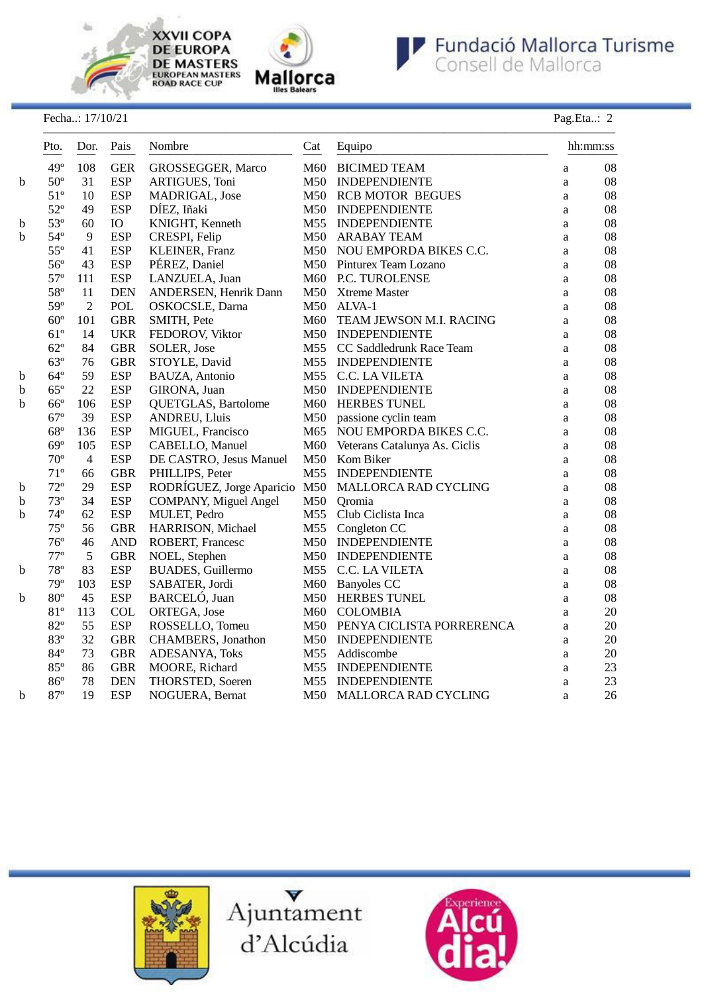

**XXVII COPA DE EUROPA DE MASTERS**<br>EUROPEAN MASTERS<br>ROAD RACE CUP





### Fecha..: 17/10/21 Pag.Eta..: 2

| Pto.<br>$- - -$ |              | Dor.                                                          |            | Pais<br>Nombre<br>Cat<br>$- - - -$ |     | Equipo                        |              | hh:mm:ss |  |
|-----------------|--------------|---------------------------------------------------------------|------------|------------------------------------|-----|-------------------------------|--------------|----------|--|
|                 | $49^\circ$   | 108                                                           | <b>GER</b> | GROSSEGGER, Marco                  | M60 | <b>BICIMED TEAM</b>           | a            | 08       |  |
| b               | $50^{\circ}$ | 31                                                            | <b>ESP</b> | ARTIGUES, Toni                     | M50 | <b>INDEPENDIENTE</b>          | a            | 08       |  |
|                 | $51^{\circ}$ | 10                                                            | <b>ESP</b> | MADRIGAL, Jose                     |     | M50 RCB MOTOR BEGUES          | a            | 08       |  |
|                 | $52^{\circ}$ | 49                                                            | <b>ESP</b> | DÍEZ, Iñaki                        |     | M50 INDEPENDIENTE             | $\rm{a}$     | 08       |  |
| b               | $53^{\circ}$ | 60                                                            | <b>IO</b>  | KNIGHT, Kenneth                    |     | M55 INDEPENDIENTE             | a            | 08       |  |
| b               | $54^{\circ}$ | $\overline{9}$                                                | <b>ESP</b> | CRESPI, Felip                      | M50 | <b>ARABAY TEAM</b>            | a            | 08       |  |
|                 | $55^{\circ}$ | 41                                                            | <b>ESP</b> | KLEINER, Franz                     | M50 | NOU EMPORDA BIKES C.C.        | $\rm{a}$     | 08       |  |
|                 | $56^{\circ}$ | PÉREZ, Daniel<br><b>ESP</b><br>43<br>M50 Pinturex Team Lozano |            |                                    | a   | 08                            |              |          |  |
|                 | $57^{\circ}$ | 111                                                           | <b>ESP</b> | LANZUELA, Juan                     | M60 | P.C. TUROLENSE                | a            | 08       |  |
|                 | 58°          | 11                                                            | <b>DEN</b> | ANDERSEN, Henrik Dann              | M50 | <b>Xtreme Master</b>          | a            | 08       |  |
|                 | 59°          | $\overline{2}$                                                | POL        | OSKOCSLE, Darna                    | M50 | ALVA-1                        | a            | 08       |  |
|                 | $60^{\circ}$ | 101                                                           | <b>GBR</b> | SMITH, Pete                        | M60 | TEAM JEWSON M.I. RACING       | a            | 08       |  |
|                 | $61^\circ$   | 14                                                            | <b>UKR</b> | FEDOROV, Viktor                    |     | M50 INDEPENDIENTE             | a            | 08       |  |
|                 | $62^{\circ}$ | 84                                                            | <b>GBR</b> | SOLER, Jose                        |     | M55 CC Saddledrunk Race Team  | a            | 08       |  |
|                 | $63^\circ$   | 76                                                            | <b>GBR</b> | STOYLE, David                      |     | M55 INDEPENDIENTE             | a            | 08       |  |
| $\mathbf b$     | $64^{\circ}$ | 59                                                            | <b>ESP</b> | BAUZA, Antonio                     | M55 | C.C. LA VILETA                | a            | 08       |  |
| b               | $65^\circ$   | 22                                                            | <b>ESP</b> | GIRONA, Juan                       | M50 | <b>INDEPENDIENTE</b>          | a            | 08       |  |
| b               | $66^{\circ}$ | 106                                                           | <b>ESP</b> | QUETGLAS, Bartolome                | M60 | <b>HERBES TUNEL</b>           | $\mathbf{a}$ | 08       |  |
|                 | $67^{\circ}$ | 39                                                            | <b>ESP</b> | <b>ANDREU, Lluis</b>               | M50 | passione cyclin team          | a            | 08       |  |
|                 | $68^{\circ}$ | 136                                                           | <b>ESP</b> | MIGUEL, Francisco                  | M65 | NOU EMPORDA BIKES C.C.        | a            | 08       |  |
|                 | $69^\circ$   | 105                                                           | <b>ESP</b> | CABELLO, Manuel                    | M60 | Veterans Catalunya As. Ciclis | a            | 08       |  |
|                 | $70^{\circ}$ | $\overline{4}$                                                | <b>ESP</b> | DE CASTRO, Jesus Manuel            | M50 | Kom Biker                     | a            | 08       |  |
|                 | $71^{\circ}$ | 66                                                            | <b>GBR</b> | PHILLIPS, Peter                    |     | M55 INDEPENDIENTE             | $\mathbf{a}$ | 08       |  |
| b               | $72^{\circ}$ | 29                                                            | <b>ESP</b> | RODRÍGUEZ, Jorge Aparicio M50      |     | MALLORCA RAD CYCLING          | $\rm{a}$     | 08       |  |
| b               | $73^{\circ}$ | 34                                                            | <b>ESP</b> | <b>COMPANY, Miguel Angel</b>       | M50 | Oromia                        | a            | 08       |  |
| b               | $74^{\circ}$ | 62                                                            | <b>ESP</b> | MULET, Pedro                       | M55 | Club Ciclista Inca            | a            | 08       |  |
|                 | $75^{\circ}$ | 56                                                            | <b>GBR</b> | HARRISON, Michael                  | M55 | Congleton CC                  | a            | 08       |  |
|                 | $76^{\circ}$ | 46                                                            | <b>AND</b> | ROBERT, Francesc                   | M50 | <b>INDEPENDIENTE</b>          | a            | 08       |  |
|                 | $77^{\circ}$ | 5                                                             | <b>GBR</b> | NOEL, Stephen                      | M50 | <b>INDEPENDIENTE</b>          | $\rm{a}$     | 08       |  |
| $\mathbf b$     | $78^{\circ}$ | 83                                                            | <b>ESP</b> | <b>BUADES, Guillermo</b>           | M55 | C.C. LA VILETA                | a            | 08       |  |
|                 | $79^{\circ}$ | 103                                                           | <b>ESP</b> | SABATER, Jordi                     | M60 | <b>Banyoles CC</b>            | a            | 08       |  |
| b               | $80^{\circ}$ | 45                                                            | <b>ESP</b> | BARCELÓ, Juan                      | M50 | <b>HERBES TUNEL</b>           | a            | 08       |  |
|                 | 81°          | 113                                                           | <b>COL</b> | ORTEGA, Jose                       | M60 | <b>COLOMBIA</b>               | $\mathbf{a}$ | 20       |  |
|                 | $82^{\circ}$ | 55                                                            | <b>ESP</b> | ROSSELLO, Tomeu                    |     | M50 PENYA CICLISTA PORRERENCA | a            | 20       |  |
|                 | 83°          | 32                                                            | <b>GBR</b> | CHAMBERS, Jonathon                 | M50 | <b>INDEPENDIENTE</b>          | a            | 20       |  |
|                 | $84^{\circ}$ | 73                                                            | <b>GBR</b> | ADESANYA, Toks                     | M55 | Addiscombe                    | a            | $20\,$   |  |
|                 | 85°          | 86                                                            | <b>GBR</b> | MOORE, Richard                     | M55 | <b>INDEPENDIENTE</b>          | a            | 23       |  |
|                 | $86^{\circ}$ | 78                                                            | <b>DEN</b> | THORSTED, Soeren                   |     | M55 INDEPENDIENTE             | a            | 23       |  |
| b               | $87^{\rm o}$ | 19                                                            | <b>ESP</b> | NOGUERA, Bernat                    | M50 | MALLORCA RAD CYCLING          | a            | 26       |  |





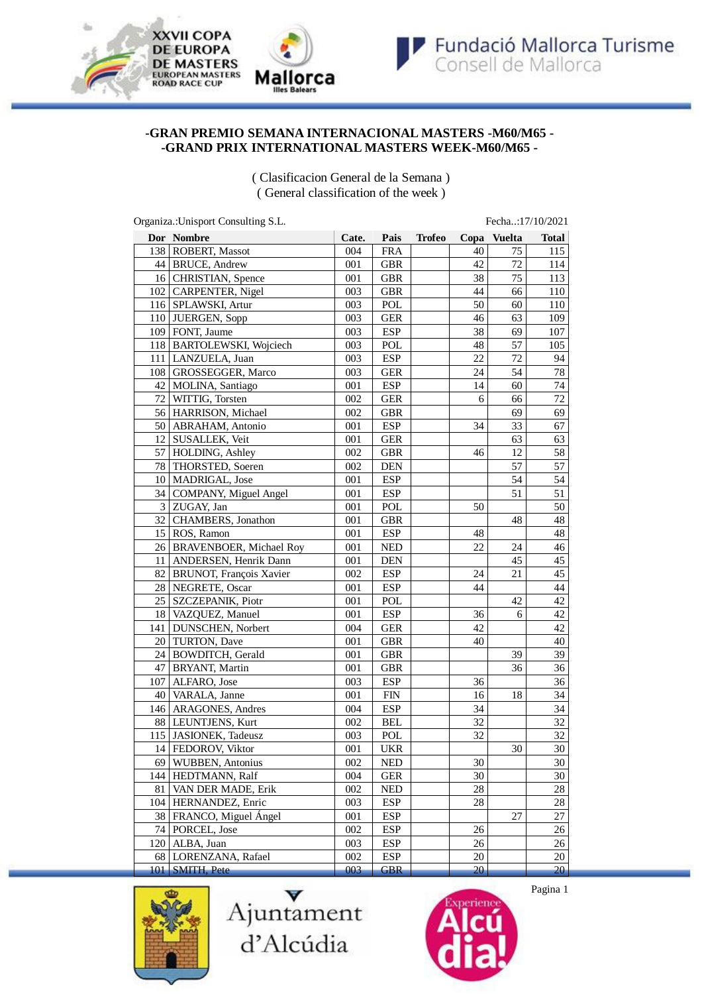

### **-GRAN PREMIO SEMANA INTERNACIONAL MASTERS -M60/M65 - -GRAND PRIX INTERNATIONAL MASTERS WEEK-M60/M65 -**

( Clasificacion General de la Semana ) ( General classification of the week )

| Organiza.: Unisport Consulting S.L.<br>Fecha:17/10/2021 |                             |       |            |               |      |        |              |  |
|---------------------------------------------------------|-----------------------------|-------|------------|---------------|------|--------|--------------|--|
|                                                         | <b>Dor</b> Nombre           | Cate. | Pais       | <b>Trofeo</b> | Copa | Vuelta | <b>Total</b> |  |
|                                                         | 138 ROBERT, Massot          | 004   | <b>FRA</b> |               | 40   | 75     | 115          |  |
|                                                         | 44 BRUCE, Andrew            | 001   | <b>GBR</b> |               | 42   | 72     | 114          |  |
|                                                         | 16   CHRISTIAN, Spence      |       | <b>GBR</b> |               | 38   | 75     | 113          |  |
|                                                         | 102 CARPENTER, Nigel        | 003   | <b>GBR</b> |               | 44   | 66     | 110          |  |
|                                                         | 116   SPLAWSKI, Artur       | 003   | POL        |               | 50   | 60     | 110          |  |
|                                                         | 110 JUERGEN, Sopp           | 003   | <b>GER</b> |               | 46   | 63     | 109          |  |
|                                                         | 109   FONT, Jaume           | 003   | <b>ESP</b> |               | 38   | 69     | 107          |  |
|                                                         | 118   BARTOLEWSKI, Wojciech | 003   | POL        |               | 48   | 57     | 105          |  |
|                                                         | 111   LANZUELA, Juan        | 003   | <b>ESP</b> |               | 22   | $72\,$ | 94           |  |
|                                                         | 108   GROSSEGGER, Marco     | 003   | <b>GER</b> |               | 24   | 54     | 78           |  |
|                                                         | 42   MOLINA, Santiago       | 001   | <b>ESP</b> |               | 14   | 60     | 74           |  |
|                                                         | 72   WITTIG, Torsten        | 002   | <b>GER</b> |               | 6    | 66     | 72           |  |
|                                                         | 56 HARRISON, Michael        | 002   | <b>GBR</b> |               |      | 69     | 69           |  |
|                                                         | 50 ABRAHAM, Antonio         | 001   | <b>ESP</b> |               | 34   | 33     | 67           |  |
|                                                         | 12 SUSALLEK, Veit           | 001   | <b>GER</b> |               |      | 63     | 63           |  |
|                                                         | 57   HOLDING, Ashley        | 002   | <b>GBR</b> |               | 46   | 12     | 58           |  |
|                                                         | 78 THORSTED, Soeren         | 002   | <b>DEN</b> |               |      | 57     | 57           |  |
|                                                         | 10   MADRIGAL, Jose         | 001   | <b>ESP</b> |               |      | 54     | 54           |  |
|                                                         | 34 COMPANY, Miguel Angel    | 001   | <b>ESP</b> |               |      | 51     | 51           |  |
|                                                         | $3$ ZUGAY, Jan              | 001   | POL        |               | 50   |        | 50           |  |
|                                                         | 32 CHAMBERS, Jonathon       | 001   | <b>GBR</b> |               |      | 48     | 48           |  |
|                                                         | $15$ ROS, Ramon             | 001   | <b>ESP</b> |               | 48   |        | 48           |  |
|                                                         | 26 BRAVENBOER, Michael Roy  | 001   | <b>NED</b> |               | 22   | 24     | 46           |  |
| 11                                                      | ANDERSEN, Henrik Dann       | 001   | <b>DEN</b> |               |      | 45     | 45           |  |
|                                                         | 82 BRUNOT, François Xavier  | 002   | <b>ESP</b> |               | 24   | 21     | 45           |  |
|                                                         | 28 NEGRETE, Oscar           | 001   | <b>ESP</b> |               | 44   |        | 44           |  |
| 25                                                      | SZCZEPANIK, Piotr           | 001   | POL        |               |      | 42     | 42           |  |
|                                                         | 18   VAZQUEZ, Manuel        | 001   | <b>ESP</b> |               | 36   | 6      | 42           |  |
| 141                                                     | DUNSCHEN, Norbert           | 004   | <b>GER</b> |               | 42   |        | 42           |  |
|                                                         | 20 TURTON, Dave             | 001   | <b>GBR</b> |               | 40   |        | 40           |  |
|                                                         | 24 BOWDITCH, Gerald         | 001   | <b>GBR</b> |               |      | 39     | 39           |  |
|                                                         | 47   BRYANT, Martin         | 001   | <b>GBR</b> |               |      | 36     | 36           |  |
| 107                                                     | ALFARO, Jose                | 003   | <b>ESP</b> |               | 36   |        | 36           |  |
|                                                         | 40   VARALA, Janne          | 001   | FIN        |               | 16   | 18     | 34           |  |
|                                                         | 146   ARAGONES, Andres      | 004   | <b>ESP</b> |               | 34   |        | 34           |  |
|                                                         | 88   LEUNTJENS, Kurt        | 002   | <b>BEL</b> |               | 32   |        | 32           |  |
|                                                         | 115 JASIONEK, Tadeusz       | 003   | POL        |               | 32   |        | 32           |  |
|                                                         | 14   FEDOROV, Viktor        | 001   | UKR        |               |      | 30     | 30           |  |
|                                                         | 69 WUBBEN, Antonius         | 002   | <b>NED</b> |               | 30   |        | 30           |  |
|                                                         | 144   HEDTMANN, Ralf        | 004   | <b>GER</b> |               | 30   |        | 30           |  |
| 81                                                      | VAN DER MADE, Erik          | 002   | <b>NED</b> |               | 28   |        | 28           |  |
|                                                         | 104   HERNANDEZ, Enric      | 003   | <b>ESP</b> |               | 28   |        | $28\,$       |  |
|                                                         | 38 FRANCO, Miguel Ángel     | 001   | <b>ESP</b> |               |      | 27     | 27           |  |
|                                                         | 74   PORCEL, Jose           | 002   | <b>ESP</b> |               | 26   |        | 26           |  |
|                                                         | 120   ALBA, Juan            | 003   | <b>ESP</b> |               | 26   |        | 26           |  |
|                                                         | 68 LORENZANA, Rafael        | 002   | <b>ESP</b> |               | 20   |        | 20           |  |
|                                                         | 101 SMITH, Pete             | 003   | <b>GBR</b> |               | 20   |        | 20           |  |







Pagina 1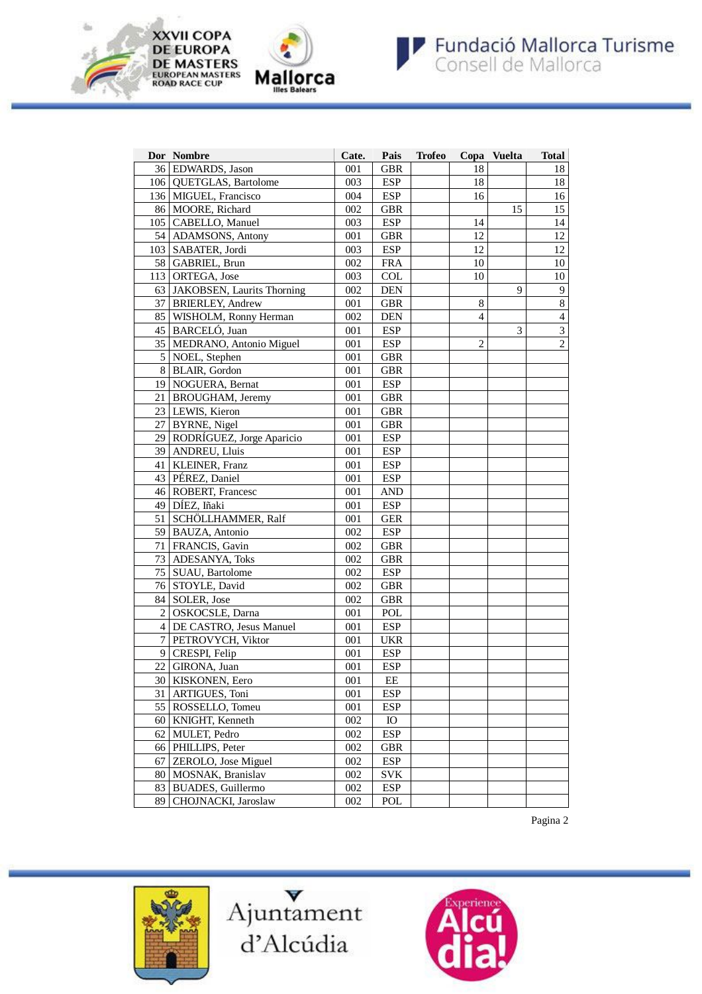



|                | Dor Nombre                    | Cate. | Pais                        | <b>Trofeo</b> |                | Copa Vuelta | <b>Total</b>            |
|----------------|-------------------------------|-------|-----------------------------|---------------|----------------|-------------|-------------------------|
|                | 36 EDWARDS, Jason             | 001   | <b>GBR</b>                  |               | 18             |             | 18                      |
|                | 106   QUETGLAS, Bartolome     | 003   | <b>ESP</b>                  |               | 18             |             | 18                      |
|                | 136   MIGUEL, Francisco       | 004   | <b>ESP</b>                  |               | 16             |             | 16                      |
|                | 86 MOORE, Richard             | 002   | <b>GBR</b>                  |               |                | 15          | 15                      |
|                | 105   CABELLO, Manuel         | 003   | <b>ESP</b>                  |               | 14             |             | 14                      |
|                | 54 ADAMSONS, Antony           | 001   | <b>GBR</b>                  |               | 12             |             | 12                      |
|                | 103   SABATER, Jordi          | 003   | <b>ESP</b>                  |               | 12             |             | 12                      |
|                | 58 GABRIEL, Brun              | 002   | <b>FRA</b>                  |               | 10             |             | 10                      |
|                | 113 ORTEGA, Jose              | 003   | <b>COL</b>                  |               | 10             |             | 10                      |
|                | 63 JAKOBSEN, Laurits Thorning | 002   | $\mathbf{DEN}$              |               |                | 9           | $\boldsymbol{9}$        |
|                | 37 BRIERLEY, Andrew           | 001   | <b>GBR</b>                  |               | 8              |             | $\overline{8}$          |
|                | 85   WISHOLM, Ronny Herman    | 002   | $\mathop{\rm DEN}\nolimits$ |               | $\overline{4}$ |             | $\overline{4}$          |
|                | 45   BARCELÓ, Juan            | 001   | <b>ESP</b>                  |               |                | 3           | $\overline{\mathbf{3}}$ |
|                | 35   MEDRANO, Antonio Miguel  | 001   | <b>ESP</b>                  |               | $\overline{c}$ |             | $\overline{2}$          |
| 5 <sup>1</sup> | NOEL, Stephen                 | 001   | <b>GBR</b>                  |               |                |             |                         |
| 8 <sup>1</sup> | <b>BLAIR</b> , Gordon         | 001   | <b>GBR</b>                  |               |                |             |                         |
|                | 19 NOGUERA, Bernat            | 001   | <b>ESP</b>                  |               |                |             |                         |
| 21 I           | <b>BROUGHAM</b> , Jeremy      | 001   | <b>GBR</b>                  |               |                |             |                         |
|                | 23 LEWIS, Kieron              | 001   | <b>GBR</b>                  |               |                |             |                         |
|                | 27   BYRNE, Nigel             | 001   | <b>GBR</b>                  |               |                |             |                         |
|                | 29 RODRÍGUEZ, Jorge Aparicio  | 001   | <b>ESP</b>                  |               |                |             |                         |
|                | 39   ANDREU, Lluis            | 001   | <b>ESP</b>                  |               |                |             |                         |
|                | 41   KLEINER, Franz           | 001   | <b>ESP</b>                  |               |                |             |                         |
|                | 43 PÉREZ, Daniel              | 001   | <b>ESP</b>                  |               |                |             |                         |
|                | 46 ROBERT, Francesc           | 001   | <b>AND</b>                  |               |                |             |                         |
|                | 49 DÍEZ, Iñaki                | 001   | <b>ESP</b>                  |               |                |             |                         |
|                | 51 SCHÖLLHAMMER, Ralf         | 001   | <b>GER</b>                  |               |                |             |                         |
|                | 59 BAUZA, Antonio             | 002   | <b>ESP</b>                  |               |                |             |                         |
|                | 71   FRANCIS, Gavin           | 002   | <b>GBR</b>                  |               |                |             |                         |
| 73             | <b>ADESANYA, Toks</b>         | 002   | <b>GBR</b>                  |               |                |             |                         |
|                | 75   SUAU, Bartolome          | 002   | <b>ESP</b>                  |               |                |             |                         |
|                | 76 STOYLE, David              | 002   | <b>GBR</b>                  |               |                |             |                         |
|                | 84   SOLER, Jose              | 002   | <b>GBR</b>                  |               |                |             |                         |
| $\overline{2}$ | OSKOCSLE, Darna               | 001   | POL                         |               |                |             |                         |
|                | 4 DE CASTRO, Jesus Manuel     | 001   | <b>ESP</b>                  |               |                |             |                         |
| $\overline{7}$ | PETROVYCH, Viktor             | 001   | <b>UKR</b>                  |               |                |             |                         |
| 9              | CRESPI, Felip                 | 001   | <b>ESP</b>                  |               |                |             |                         |
|                | 22   GIRONA, Juan             | 001   | <b>ESP</b>                  |               |                |             |                         |
|                | 30   KISKONEN, Eero           | 001   | EE                          |               |                |             |                         |
| 31             | ARTIGUES, Toni                | 001   | <b>ESP</b>                  |               |                |             |                         |
| 55             | ROSSELLO, Tomeu               | 001   | <b>ESP</b>                  |               |                |             |                         |
|                | 60   KNIGHT, Kenneth          | 002   | <b>IO</b>                   |               |                |             |                         |
| 62 I           | MULET, Pedro                  | 002   | <b>ESP</b>                  |               |                |             |                         |
|                | 66   PHILLIPS, Peter          | 002   | <b>GBR</b>                  |               |                |             |                         |
| 67             | ZEROLO, Jose Miguel           | 002   | <b>ESP</b>                  |               |                |             |                         |
|                | 80 MOSNAK, Branislav          | 002   | <b>SVK</b>                  |               |                |             |                         |
|                | 83 BUADES, Guillermo          | 002   | <b>ESP</b>                  |               |                |             |                         |
| 89             | CHOJNACKI, Jaroslaw           | 002   | POL                         |               |                |             |                         |

Pagina 2